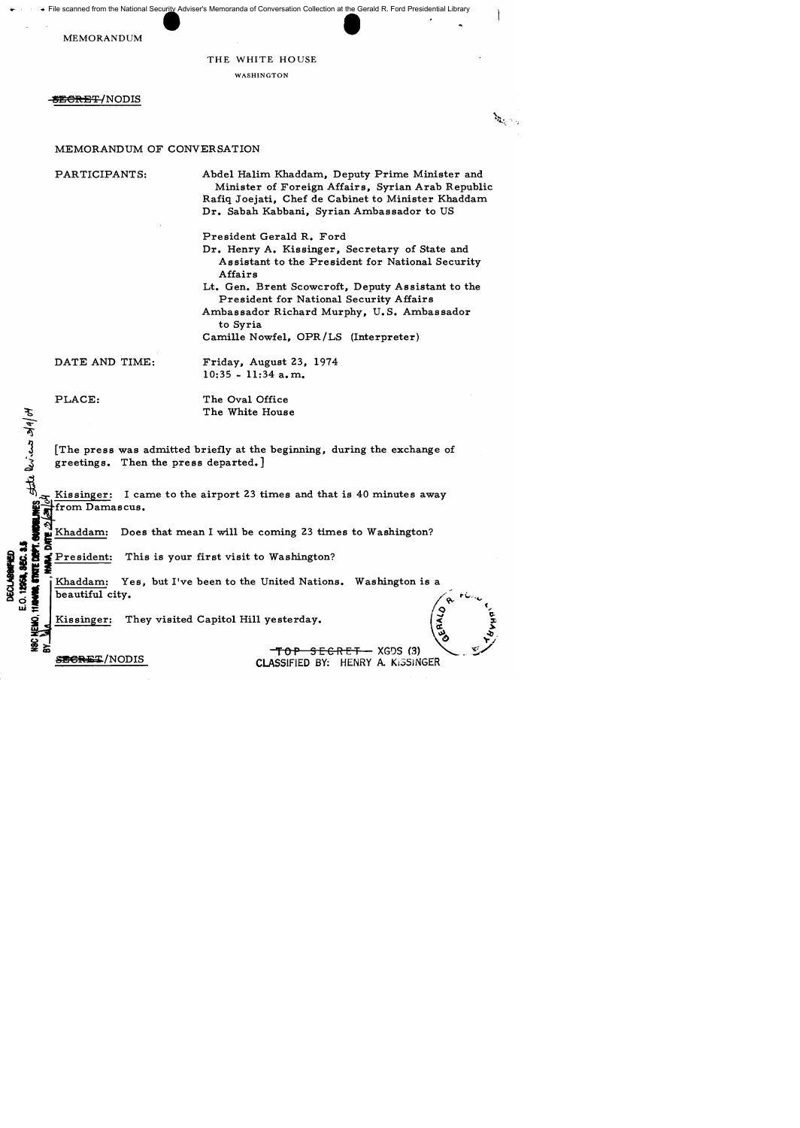File scanned from the National Secur<u>ity</u> Adviser's Memoranda of Conversation Collection at the Gerald R. Ford Presidential Library scanned from the National Security Adviser's Memoranda of Conversation Collection at the Gerald MEMORANDUM<br>
THE WHITE HOUSE

## THE WHITE HOUSE

WASHINGTON

<del>SECRET/</del>NODIS

**BALL** 

# MEMORANDUM OF CONVERSATION

PARTICIPANTS:

Abde1 Ha1im Khaddam, Deputy Prime Minister and Minister of Foreign Affairs, Syrian Arab Republic Rafiq Joejati, Chef de Cabinet to Minister Khaddam Dr. Sabah Kabbani, Syrian Ambassador to US

President Gerald R. Ford

Dr. Henry A. Kissinger, Secretary of State and Assistant to the President for National Security Affairs

Lt. Gen. Brent Scowcroft, Deputy Assistant to the President for National Security Affairs

Ambassador Richard Murphy, U. S. Ambassador to Syria

Camille Nowfe1, OPR/LS (Interpreter)

DATE AND TIME:

Friday, August 23, 1974 10:35 - 11:34 a. m.

PLACE:

 $\mathcal{F}$  $H_0 / \nu_{\rm K}$ 

DECLASSIFIED<br>E.O. 12951. 8EC. 1

The Oval Office The White House

[The press was admitted briefly at the beginning, during the exchange of greetings. Then the press departed.]

Kissinger: I came to the airport 23 times and that is 40 minutes away ~tfrom Damascus.

Khaddam: Does that mean I will be coming 23 times to Washington?

President: This is your first visit to Washington?

**3 g x**<br>**3 b . Khaddam:** Yes, but I've been to the United Nations. Washington is a<br>**3 b .** [Khaddam: Yes, but I've been to the United Nations. Washington is a  $\frac{1}{2}$  **6**  $\frac{1}{2}$  Khaddam: Yes, but I've been to the United Nations. Washington is a<br> $\frac{1}{2}$  beautiful city.

 $\frac{1}{2}$ ,  $\frac{1}{2}$ ,  $\frac{1}{2}$ ,  $\frac{1}{2}$ ,  $\frac{1}{2}$ ,  $\frac{1}{2}$ ,  $\frac{1}{2}$ ,  $\frac{1}{2}$ ,  $\frac{1}{2}$ ,  $\frac{1}{2}$ ,  $\frac{1}{2}$ ,  $\frac{1}{2}$ ,  $\frac{1}{2}$ ,  $\frac{1}{2}$ ,  $\frac{1}{2}$ ,  $\frac{1}{2}$ ,  $\frac{1}{2}$ ,  $\frac{1}{2}$ ,  $\frac{1}{2}$ ,  $\frac{1}{2}$ ,

Kissinger: They visited Capitol Hill yesterday.

<del>TOP SECRET -</del> XGDS (3) .<br>CLASSIFIED BY: HENRY A KISSIN CLASSIFIED BY: HENRY A. KISSINGER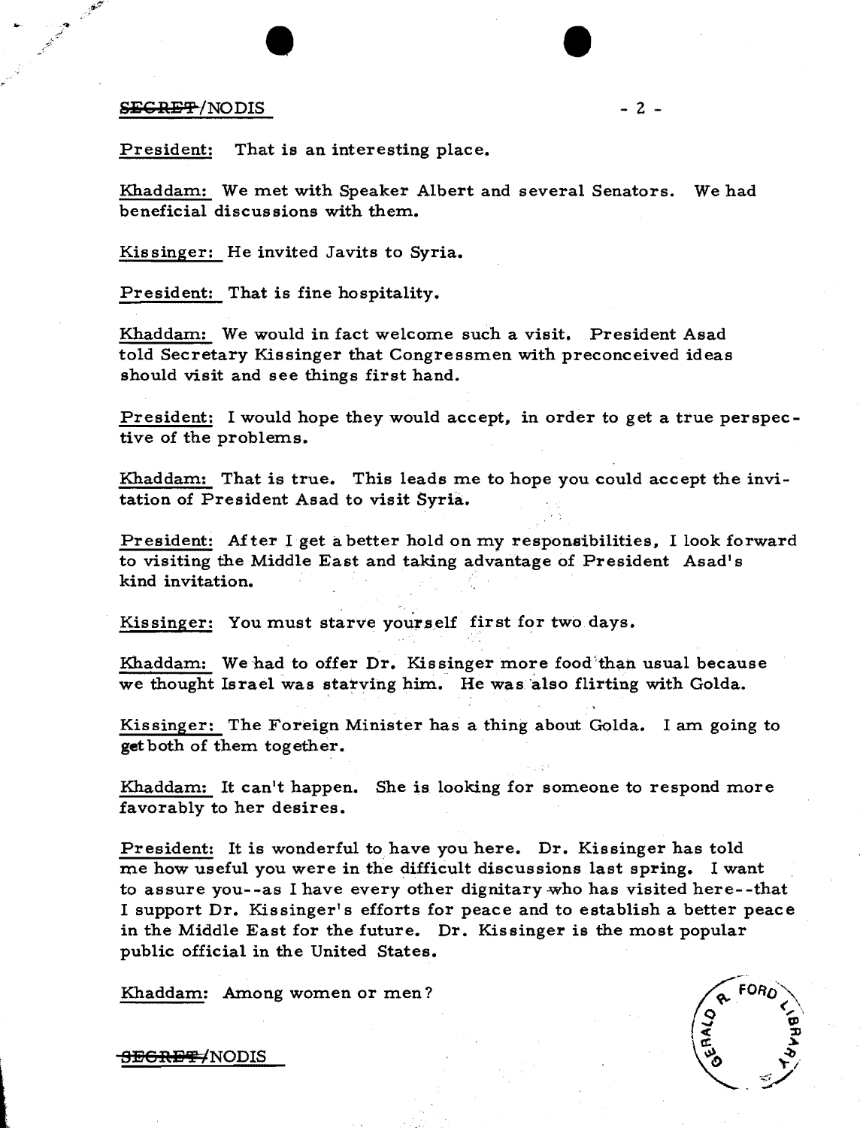#### $S_{\text{EGREF}}/NODIS$  - 2 -

 $\bullet$ 

President: That is an interesting place.

Khaddam: We met with Speaker Albert and several Senators. We had beneficial discussions with them.

Kissinger: He invited Javits to Syria.

President: That is fine hospitality.

Khaddam: We would in fact welcome such a visit. President Asad told Secretary Kissinger that Congressmen with preconceived ideas should visit and see things first hand.

President: I would hope they would accept, in order to get a true perspective of the problems.

Khaddam: That is true. This leads me to hope you could accept the invitation of President Asad to visit Syria.

President: After I get a better hold on my responsibilities, I look forward to visiting the Middle East and taking advantage of President Asad's kind invitation.

Kissinger: You must starve yourself first for two days.

Khaddam: We had to offer Dr. Kissinger more food than usual because we thought Israel was starving him. He was also flirting with Golda.

Kissinger: The Foreign Minister has a thing about Golda. I am going to get both of them together.

Khaddam: It can't happen. She is looking for someone to respond more favorably to her desires.

President: It is wonderful to have you here. Dr. Kissinger has told me how useful you were in the difficult discussions last spring. I want to assure you--as I have every other dignitary who has visited here--that I support Dr. Kissinger' s efforts for peace and to establish a better peace in the Middle East for the future. Dr. Kissinger is the most popular public official in the United States.

Khaddam: Among women or men?



<del>SECRET/</del>NODIS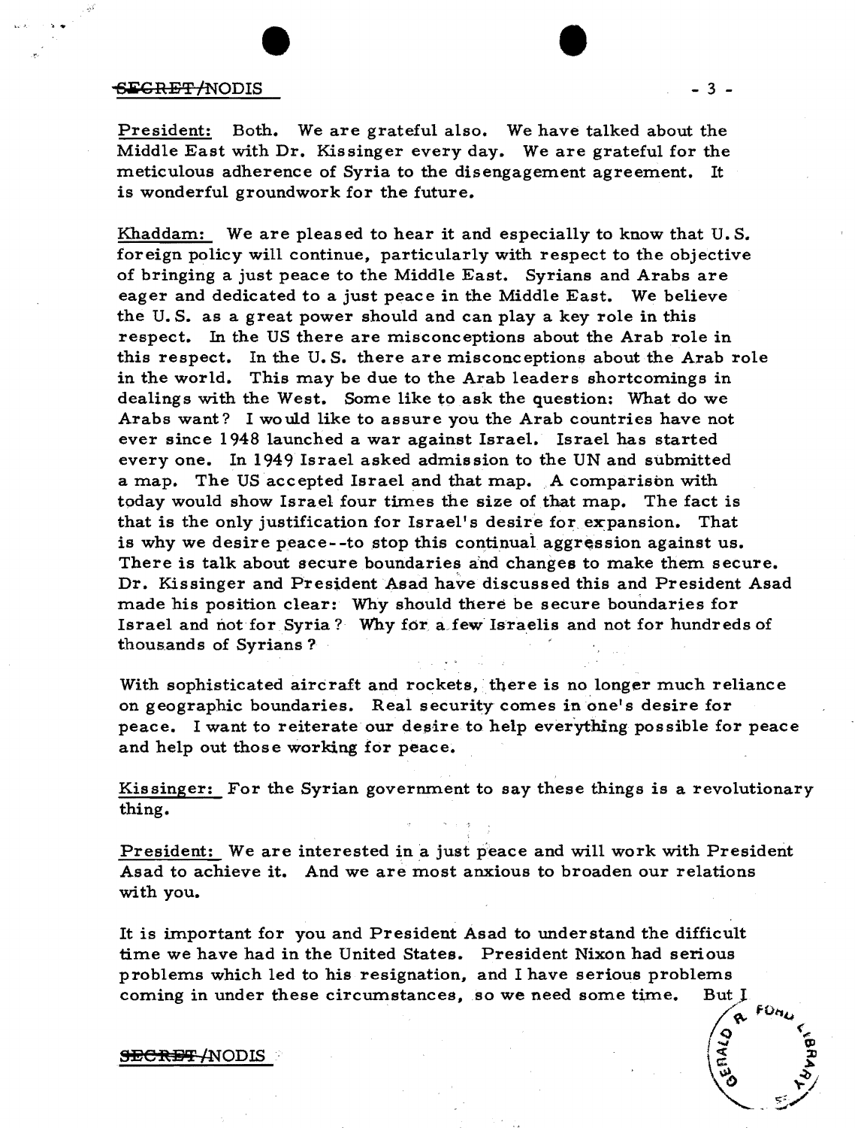## $S$ **EGRET/NODIS**

, .

President: Both. We are grateful also. We have talked about the Middle East with Dr. Kissinger every day. We are grateful for the meticulous adherence of Syria to the disengagement agreement. It is wonderful groundwork for the future.

Khaddam: We are pleased to hear it and especially to know that U.S. foreign policy will continue, particularly with respect to the objective of bringing a just peace to the Middle East. Syrians and Arabs are eager and dedicated to a just peace in the Middle East. We believe the U. S. as a great power should and can playa key role in this respect. In the US there are misconceptions about the Arab role in this respect. In the U. S. there are misconceptions about the Arab role in the world. This may be due to the Arab leaders shortcomings in dealings with the West. Some like to ask the question: What do we Arabs want? I wo uld like to assure you the Arab countries have not ever since 1948 launched a war against Israel. Israel has started everyone. In 1949 Israel asked admission to the UN and submitted a map. The US accepted Israel and that map. A comparison with today would show Israel four times the size of that map. The fact is that is the only justification for Israel's desire for expansion. That is why we desire peace--to stop this continual aggression against us. There is talk about secure boundaries and changes to make them secure. Dr. Kissinger and President Asad have discussed this and President Asad made his position clear: Why should there be secure boundaries for Israel and not for Syria? Why for a few Israelis and not for hundreds of thousands of Syrians?

With sophisticated aircraft and rockets, there is no longer much reliance on geographic boundaries. Real security comes in one's desire for peace. I want to reiterate our desire to help everything possible for peace and help out those working for peace.

Kissinger: For the Syrian government to say these things is a revolutionary thing.

President: We are interested in a just peace and will work with President Asad to achieve it. And we are most anxious to broaden our relations with you.

It is important for you and President Asad to understand the difficult time we have had in the United States. President Nixon had serious problems which led to his resignation, and I have serious problems coming in under these circumstances, so we need some time. But J

#### <del>SECRET /</del>NODIS

- 3 -

 $\int_{\frac{Q}{\epsilon}}^{\infty}$  for

 $\mathbb{S}$  . So  $\mathbb{S}$ 

 $\sum_{i=1}^n$ 

•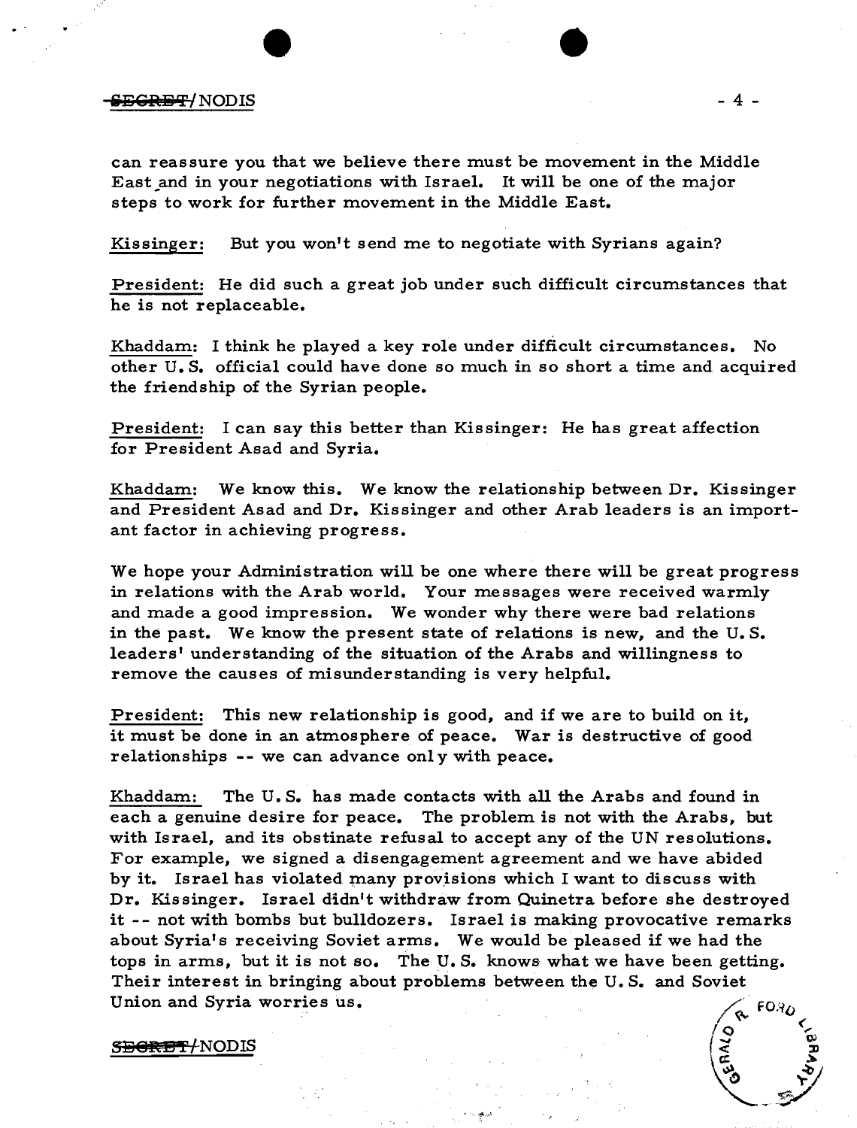# iid is a set of the set of the set of the set of the set of the set of the set of the set of the set of the set of the set of the set of the set of the set of the set of the set of the set of the set of the set of the set

can reassure you that we believe there must be movement in the Middle East and in your negotiations with Israel. It will be one of the major steps to work for further movement in the Middle East.

Kissinger: But you won't send me to negotiate with Syrians again?

President: He did such a great job under such difficult circumstances that he is not replaceable.

Khaddam: I think he played a key role under difficult circumstances. No other U. S. official could have done so much in so short a time and acquired the friendship of the Syrian people.

President: I can say this better than Kissinger: He has great affection for President Asad and Syria.

Khaddam: We know this. We know the relationship between Dr. Kissinger and President Asad and Dr. Kissinger and other Arab leaders is an important factor in achieving progress.

We hope your Administration will be one where there will be great progress in relations with the Arab world. Your messages were received warmly and made a good impression. We wonder why there were bad relations in the past. We know the present state of relations is new, and the U. S. leaders' understanding of the situation of the Arabs and willingness to remove the causes of misunderstanding is very helpful.

President: This new relationship is good, and if we are to build on it, it must be done in an atmosphere of peace. War is destructive of good relationships -- we can advance only with peace.

Khaddam: The U. S. has made contacts with all the Arabs and found in each a genuine desire for peace. The problem is not with the Arabs, but with Israel, and its obstinate refusal to accept any of the UN resolutions. For example, we signed a disengagement agreement and we have abided by it. Israel has violated many provisions which I want to discuss with Dr. Kissinger. Israel didn't withdraw from Quinetra before she destroyed it -- not with bombs but bulldozers. Israel is making provocative remarks about Syria's receiving Soviet arms. We would be pleased if we had the tops in arms, but it is not so. The U. S. knows what we have been getting. Their interest in bringing about problems between the U. S. and Soviet Union and Syria worries us.  $\angle$  FOR

S<del>EGRET/</del>NODIS

 $\sim$ 

•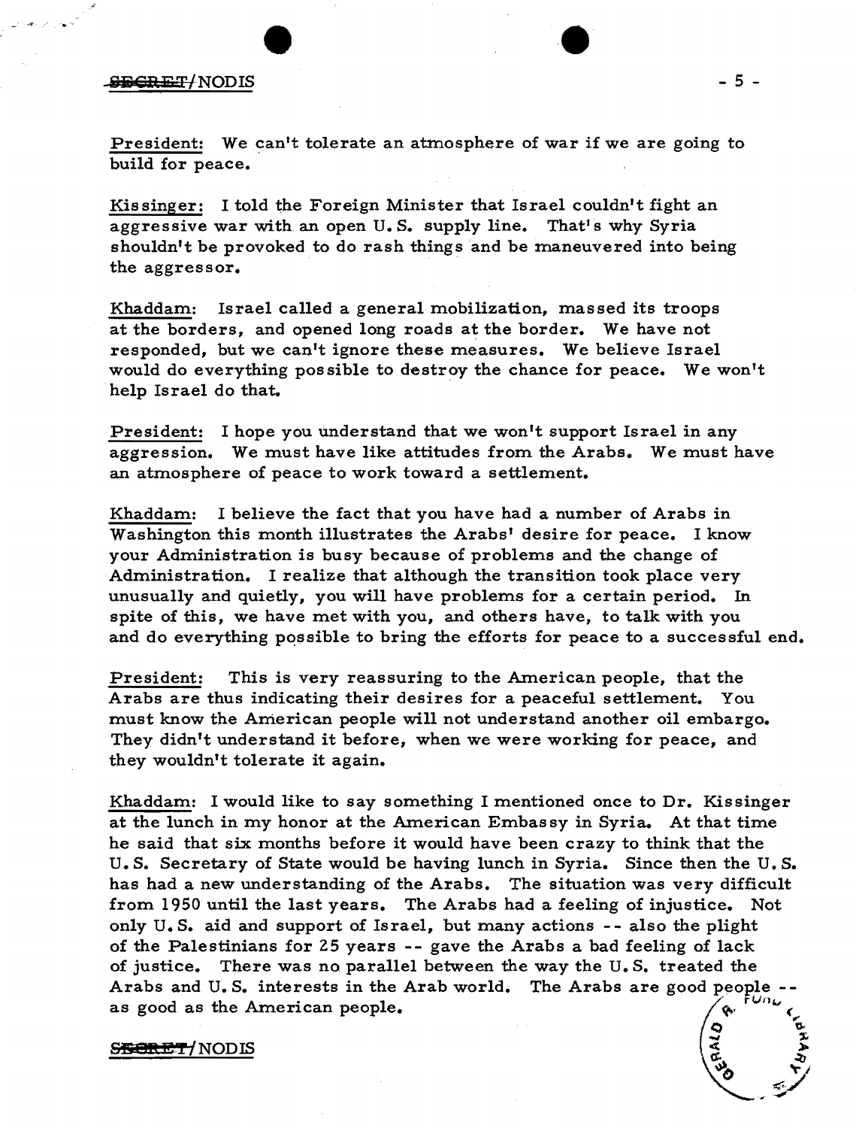# .. iDea *iiT/NODIS* - 5 -

President: We can't tolerate an atmosphere of war if we are going to build for peace.

Kissinger: I told the Foreign Minister that Israel couldn't fight an aggressive war with an open U.S. supply line. That's why Syria shouldn't be provoked to do rash things and be maneuvered into being the aggressor.

Khaddam: Israel called a general mobilization, massed its troops at the borders, and opened long roads at the border. We have not responded, but we can't ignore these measures. We believe Israel would do everything possible to destroy the chance for peace. We won't help Israel do that.

President: I hope you understand that we won't support Israel in any aggression. We must have like attitudes from the Arabs. We must have an atmosphere of peace to work toward a settlement.

Khaddam: I believe the fact that you have had a number of Arabs in Washington this month illustrates the Arabs' desire for peace. I know your Administration is busy because of problems and the change of Administration. I realize that although the transition took place very unusually and quietly, you will have problems for a certain period. In spite of this, we have met with you, and others have, to talk with you and do everything possible to bring the efforts for peace to a successful end.

President: This is very reassuring to the American people, that the Arabs are thus indicating their desires for a peaceful settlement. You must know the American people will not understand another oil embargo. They didn't understand it before, when we were working for peace, and they wouldn't tolerate it again.

Khaddam: I would like to say something I mentioned once to Dr. Kissinger at the lunch in my honor at the American Embassy in Syria. At that time he said that six months before it would have been crazy to think that the U. S. Secretary of State would be having lunch in Syria. Since then the U. S. has had a new understanding of the Arabs. The situation was very difficult from. 1950 until the last years. The Arabs had a feeling of injustice. Not only  $U.S.$  aid and support of Israel, but many actions  $- -$  also the plight of the Palestinians for 25 years -- gave the Arabs a bad feeling of lack of justice. There was no parallel between the way the U. S. treated the Arabs and  $U.S.$  interests in the Arab world. The Arabs are good people as good as the American people.

# 2008 **SECRET/NODIS**

 $\circ$   $\vee$ 

.  $\mathcal{L}$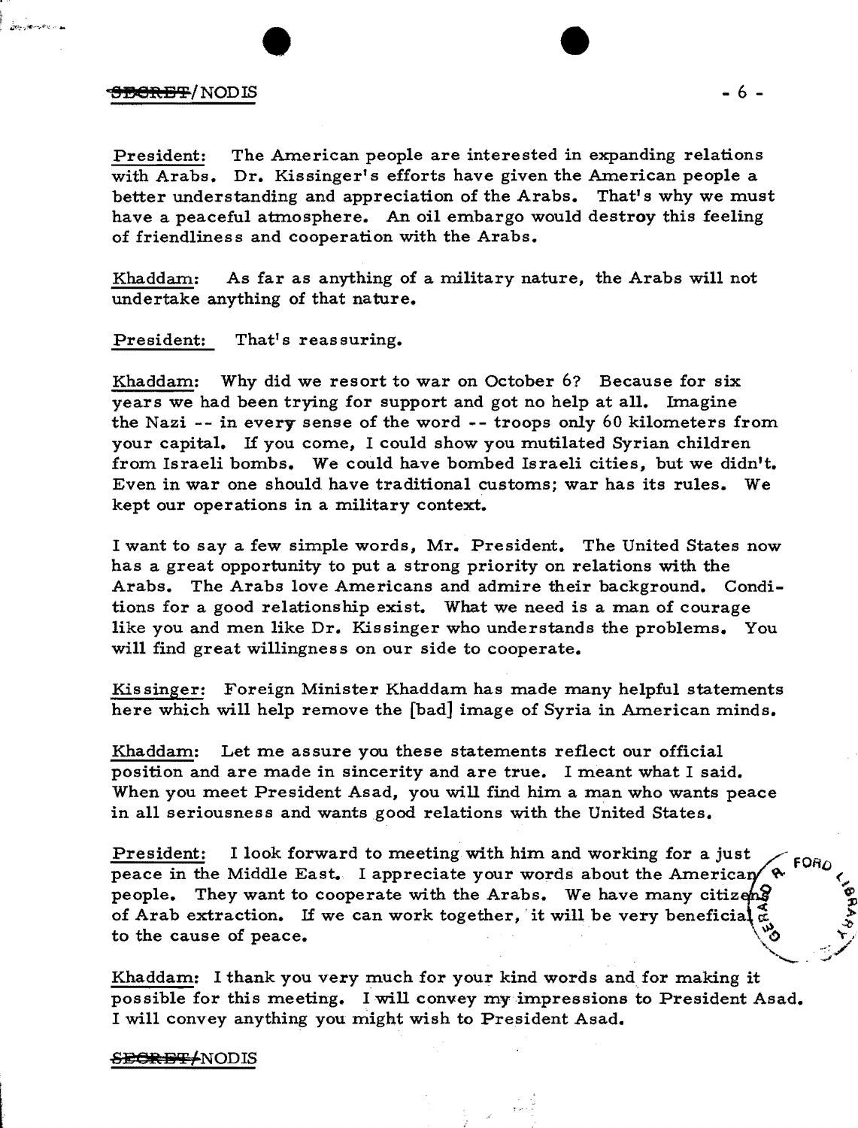# <del>SECRET</del>/NODIS - 6 -

**Longitude Common** 

President: The American people are interested in expanding relations with Arabs. Dr. Kissinger's efforts have given the American people a better understanding and appreciation of the Arabs. That's why we must have a peaceful atmosphere. An oil embargo would destroy this feeling of friendliness and cooperation with the Arabs.

Khaddam: As far as anything of a military nature, the Arabs will not undertake anything of that nature.

## President: That's reassuring.

Khaddam: Why did we resort to war on October 6? Because for six years we had been trying for support and got no help at all. Imagine the Nazi -- in every sense of the word .- troops only 60 kilometers from your capital. If you come, I could show you mutilated Syrian children from Israeli bombs. We could have bombed Israeli cities, but we didn't. Even in war one should have traditional customs; war has its rules. We kept our operations in a military context.

I want to say a few simple words, Mr. President. The United States now has a great opportunity to put a strong priority on relations with the Arabs. The Arabs love Americans and admire their background. Conditions for a good relationship exist. What we need is a man of courage like you and men like Dr. Kissinger who understands the problems. You will find great willingness on our side to cooperate.

Kis singer: Foreign Minister Khaddam has made many helpful statements here which will help remove the [bad] image of Syria in American minds.

Khaddam: Let me assure you these statements reflect our official position and are made in sincerity and are true. I meant what I said. When you meet President Asad, you will find him a man who wants peace in all seriousness and wants good relations with the United States.

President: I look forward to meeting with him and working for a just<br>peace in the Middle East. I appreciate your words about the American  $\left\{\begin{array}{l}\text{if }n=1,2,\ldots,n\end{array}\right\}$  people. They want to cooperate with the Arabs. We peace in the Middle East. I appreciate your words about the America ~ () <, people. They want to cooperate with the Arabs. We have many citizens of Arab extraction. If we can work together, it will be very beneficial  $\frac{3}{5}$  ,  $\frac{3}{5}$  to the cause of peace.

Khaddam: I thank you very much for your kind words and for making it possible for this meeting. I will convey my impressions to President Asad. I will convey anything you might wish to President Asad.

#### <del>SECRET/</del>NODIS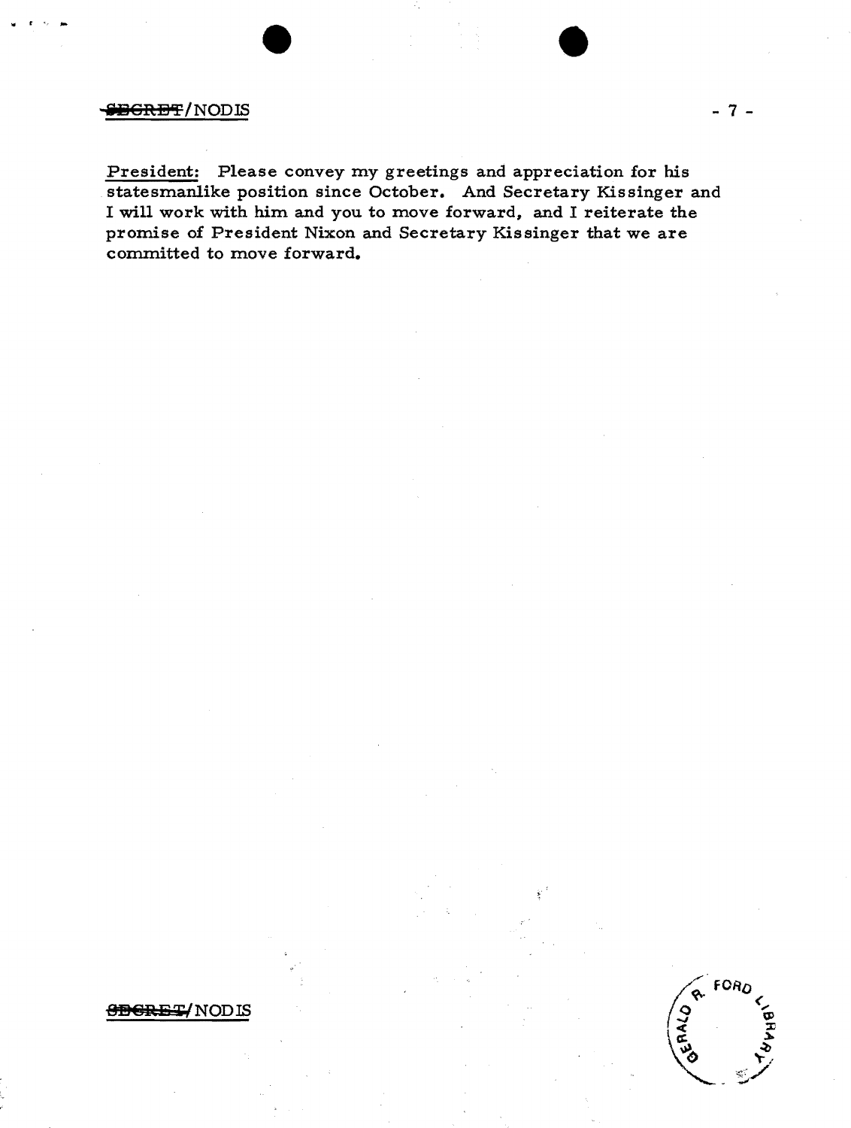# **SEGRET/NODIS**

President: Please convey my greetings and appreciation for his statesmanlike position since October. And Secretary Kissinger and I will work with him and you to move forward, and I reiterate the promise of President Nixon and Secretary Kissinger that we are committed to move forward.

**SBERET/NODIS** 

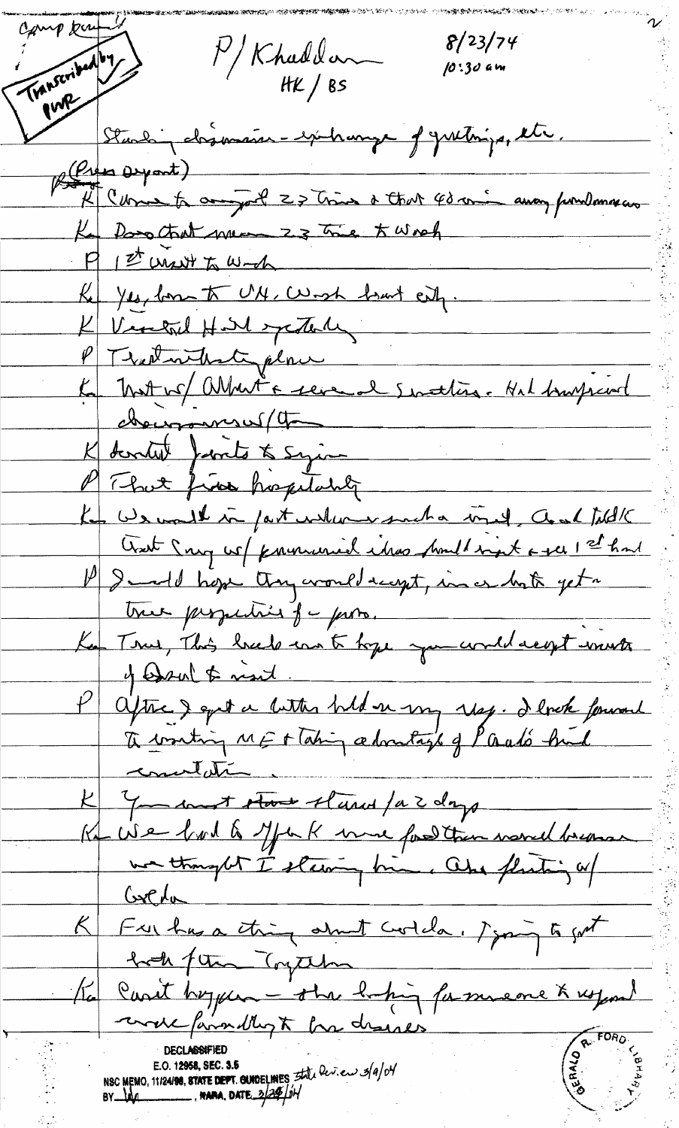Camp bu Transcribed by  $8/23/74$ P/Khaddon 10:30 am Standing desimaires - exchange of yurthings, the (Press Depart) "K" Come to anywel 27 tries a that 40 min away fundamental  $P$   $P'$  unit to wake Ke yes, lom to UM, Work hart eig. K Vintal Hill systemly PT water that place Ka Mott vo/ abbat a revenal senattien. Nel bourgrand changement (the K dentit finits to syin Key We would in fast wallen wanche inel, Coal fill K Creat Song we / provenanced ideas proud signt a gee 1 st had l'Immedi hope they croud rayet, in a hate yet. true perpection for poro. Ke Tous, This breed in to tope you would reget wont 4 Wedson & next aptre & epit a bitter hild er my ray. I look fourant concelation K You sont stoot start par days  $G_{x}C_{x}A_{y}$ K Fulhas a thing about coolda, signing to got took for Trythe Ka carit hoyen - the bifing fammene & usport undefainably to be desires E.O. 12958, SEC. 3.5<br>NSC MEMO, 11/24/98, STATE DEPT. GUIDELINES *Etile Dev.* en 3/9/04<br>BY MO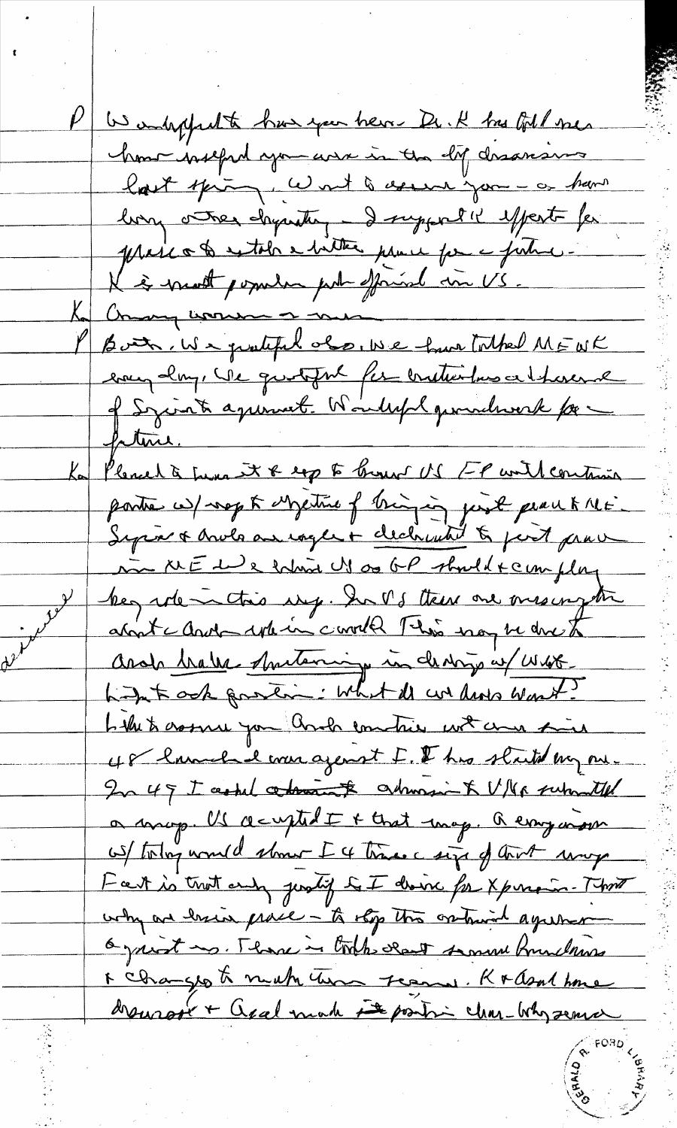W ambigghalte has you here Dr. K has foll mes how welched you are in the life desarance hast spiring, won't assume you - or have long other chyanter - I support it effect for prese a to extole a bitter prove for a future. K is most popular put official in US. Ka Commy women or me Both, We protected also, we have talked MEUK every clay, We quotoful for articulars at hoseral of Syciatre againment. Wouldeful gesondwerk for ptine. Ka Pleased à Luna et 8 exp to brouw US FP with continua pointe w/ nep to Metrie of tringing just peace tille. Septive & Ander an eager + clechwith to just prove in NEWs whin Us as GP should + complay  $y^{\prime}$ begardementions et de la later une mes important about charles where covered This way be done to Ande <u>brake Antonnique in desing in West.</u><br>Lign't ook partin : What ill we have won't? Like to cosme you and contries with an fine 48 have had was agenst I. I has started my one In 49 I central continues of columns to V/Vs submitted a map. Us accepted I + that map. Remy more OS/ today would show I 4 times a size of tout way Hat is trut and justif to I doine for Xpercent That why are lasin prace - to the the cretinish agreement 6 juint ms. Thank in took deat somme fruidening 1 changes to much them seems. Krasal home drewrook + apalmach is post in char-why senice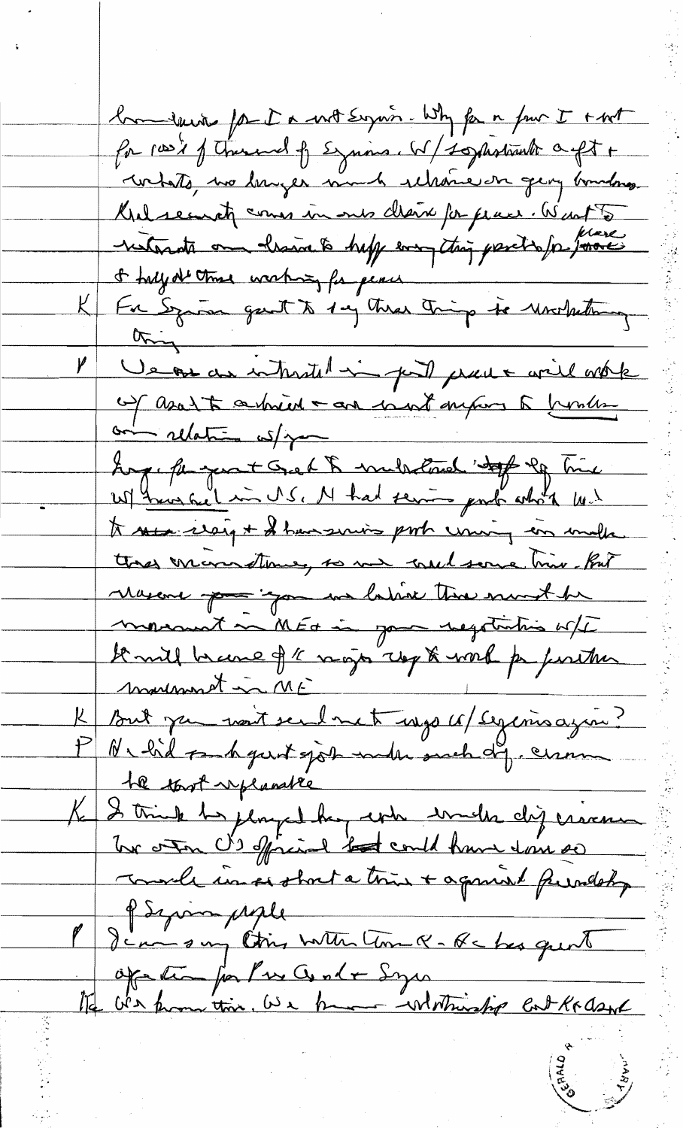bon seine for I a not seguir. Why for a fun I + not for root of themself Expires. W/tophotomotor aft + whats, we lawger much relative on georg boundary. Krelseinst comes in our cleare for place. Went to & half at the working for peace For Syrian gart to 1 mg three things to Monterdating  $\frac{1}{2}$ Ve ou au intratit in puit prouve avril mote and relation ws/ you Long, for you t Grant & mula loved " to le Time" to see items + I have serving port uning an inde the man time, so me met some triv. But Mascone pour "gon un latine thre munt be monarche MEG in pour regatation off De mill brance of 1 ragin roy to work par partier But jam vont sembret une ce / segemoissin? PN bil such gunt sjok much dy cerem the tout replacable K 2 trink to played her who will dij crime PSyringuple P Jean sur Ctins with Com Q- Re has quint Of the for Pres Conte Symmetristip Cat Krash

E SO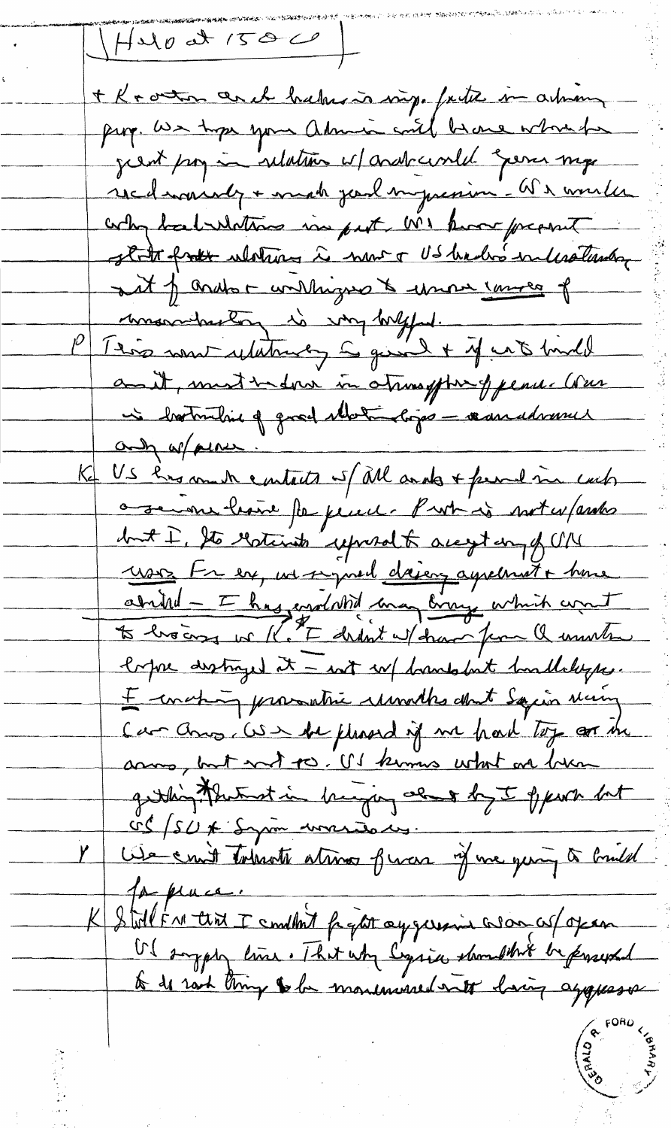$HMOdT/50C$ + K + outon and haber is virge father in arthur page. We hope your admire with because when he just pour indation of andrewald gener my redenvisely + mach junt surpression - We would why bal whating in put MI know present state from whether is now a US hadro interactional aut of ands - willingers to unour course of mondanton is voy bright. 1250 nous ulations a quick + if with hindel and, must indern in atressform of penu. Were is botherline of grad Motivers - reconcidenne and of piner. US has made eartests if all ands + fremed me cach a server beaux for perent. Put is not expendes but I. Sto Gotints' upwalt accept on of UN usis tre est, un se pred daiens agréement + house abrild - I has endedted may bring which want loppe distinged it - not w/ brandslate bandledeppe. I concepting proventie remades about Samin Maring Car and US he pleased if we had top or the acros, but wit po. US kimus what are became getting the test in burging about by I sport but CC/SU# Syron worsers Céle en it tobreste atimes funces if me quin à bindet for place. K Stoll From that I condlate fight ay germain a som as foxen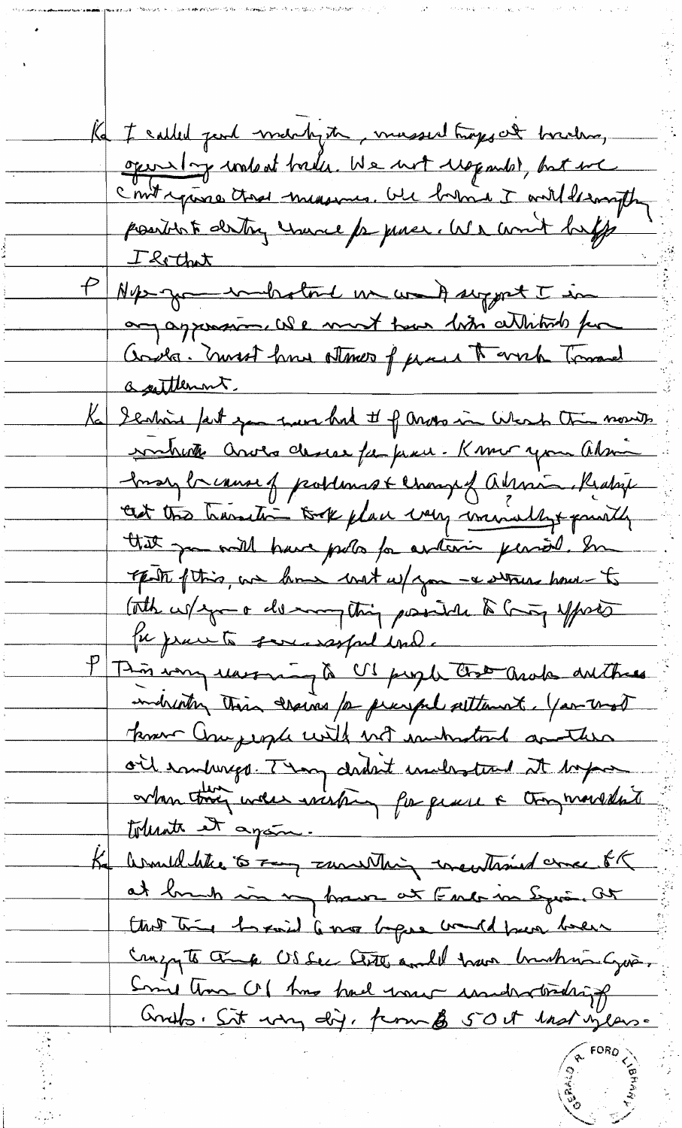Ka I called jund machyth, mussed trages at braching, operating world trader. We not wopardst, but we c'entrepine that measures. We have I will desaught I hothat Nepe grammer toute un comparative in any aggression. We must town bir attitude for Cools. must have attaco f pare to with Tomared a sattlement. Scalaire fait you were had If more in Where the monte sonhute anos desce fa pau - Know you alm Inary breakers of problems & changed almos Realige cent this handling took place was mindly paintly that you will have polo for automin personel. In That this, we have with w/ you - a stress how to The w/sport descompting partie & Compforts for practs somewaspel und P This way warring to US proget that and anthone inducting their croins for prayerle settlement. You that know Compeople with not instructions another oil embraces. They dedn't indential at before orken trois were wishing for quese a trong monthlate tolerate et apam. asmilibilities to Tay survention to entertained come of at brush in my france at Endo in Syria. At that this hopes compressed there were the Canzy to the factor City and I have bushing Gus, Smit tom Of the had want inductively Consto, Sit was dig, from & 50 it hast on low-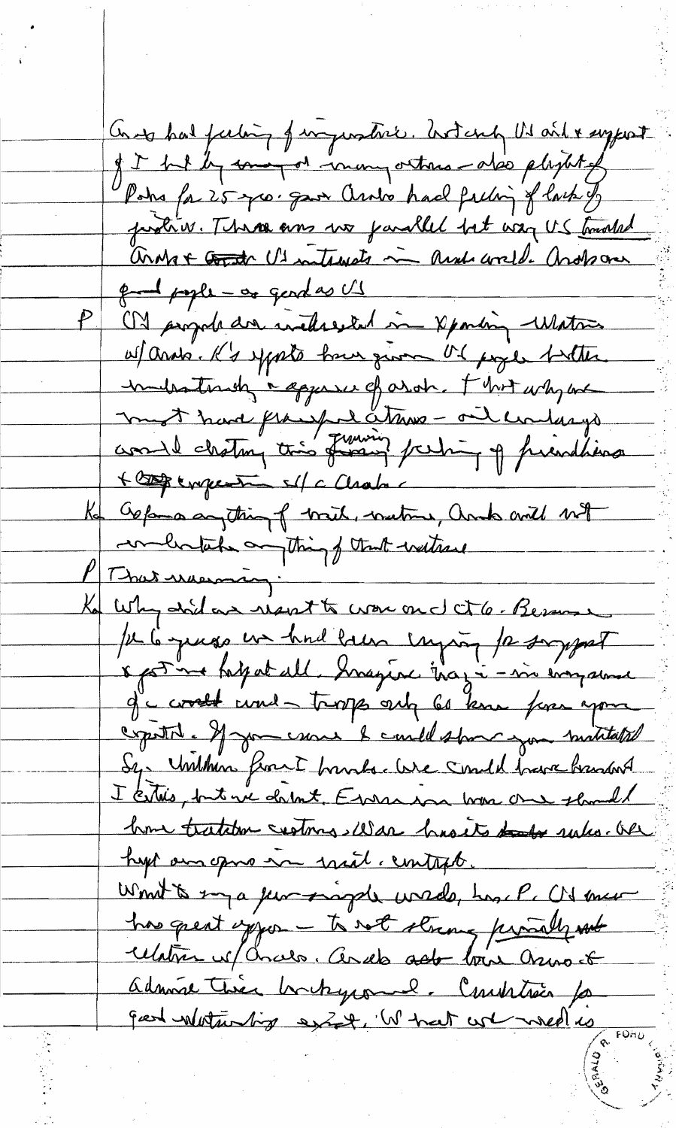Cont has feeling of important. Art and US and & supert of I but by comment in many outras - also pleytet of Poho fa 25 year gave anto had feeling of lack of protein. There are no parallel but way US touched Contrat Control US interests in And wild. Another <del>que pagle - as</del> gendas US On projet der inclusion in partin Water afands. K's sports have given the pope butter imiliationship appeared drot. Fhort why we mot hard francs detrue ont undanys + Compensation of a Chabo a Oppose anything of brit, butons, and will not which anything of that without That manager . Why did as result to war on d ct 6. Besson Je la quesa en huil lacen emproy la soyegast \* pot me fatgat all. Imagene that i - in engance g°c could cond - troops only 60 km fine your copitat et you canne le could show you matitated Sy Unilhon front bounds. We smild barre bandont I certiles, but we do but, Exercison home one should home tratation continues was hasts that wakes. Our hypt an opine in with, contract. Won't to my a few progets winds, has P. C's mer has great infor - to not strong provally not relation of Chalo. Ando ado bis Osmod admire tiver bortrycome l'institués pa geed whiteasting exist, W hat we week is